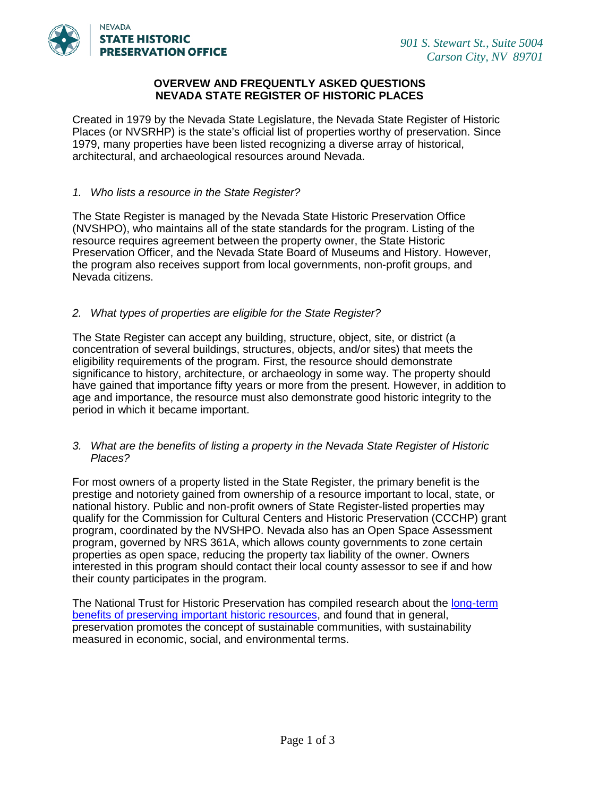

## **OVERVEW AND FREQUENTLY ASKED QUESTIONS NEVADA STATE REGISTER OF HISTORIC PLACES**

Created in 1979 by the Nevada State Legislature, the Nevada State Register of Historic Places (or NVSRHP) is the state's official list of properties worthy of preservation. Since 1979, many properties have been listed recognizing a diverse array of historical, architectural, and archaeological resources around Nevada.

#### *1. Who lists a resource in the State Register?*

The State Register is managed by the Nevada State Historic Preservation Office (NVSHPO), who maintains all of the state standards for the program. Listing of the resource requires agreement between the property owner, the State Historic Preservation Officer, and the Nevada State Board of Museums and History. However, the program also receives support from local governments, non-profit groups, and Nevada citizens.

## *2. What types of properties are eligible for the State Register?*

The State Register can accept any building, structure, object, site, or district (a concentration of several buildings, structures, objects, and/or sites) that meets the eligibility requirements of the program. First, the resource should demonstrate significance to history, architecture, or archaeology in some way. The property should have gained that importance fifty years or more from the present. However, in addition to age and importance, the resource must also demonstrate good historic integrity to the period in which it became important.

#### *3. What are the benefits of listing a property in the Nevada State Register of Historic Places?*

For most owners of a property listed in the State Register, the primary benefit is the prestige and notoriety gained from ownership of a resource important to local, state, or national history. Public and non-profit owners of State Register-listed properties may qualify for the Commission for Cultural Centers and Historic Preservation (CCCHP) grant program, coordinated by the NVSHPO. Nevada also has an Open Space Assessment program, governed by NRS 361A, which allows county governments to zone certain properties as open space, reducing the property tax liability of the owner. Owners interested in this program should contact their local county assessor to see if and how their county participates in the program.

The National Trust for Historic Preservation has compiled research about the [long-term](http://www.preservationnation.org/information-center/sustainable-communities/#.VZ14KvlVhHw)  [benefits of preserving important historic resources,](http://www.preservationnation.org/information-center/sustainable-communities/#.VZ14KvlVhHw) and found that in general, preservation promotes the concept of sustainable communities, with sustainability measured in economic, social, and environmental terms.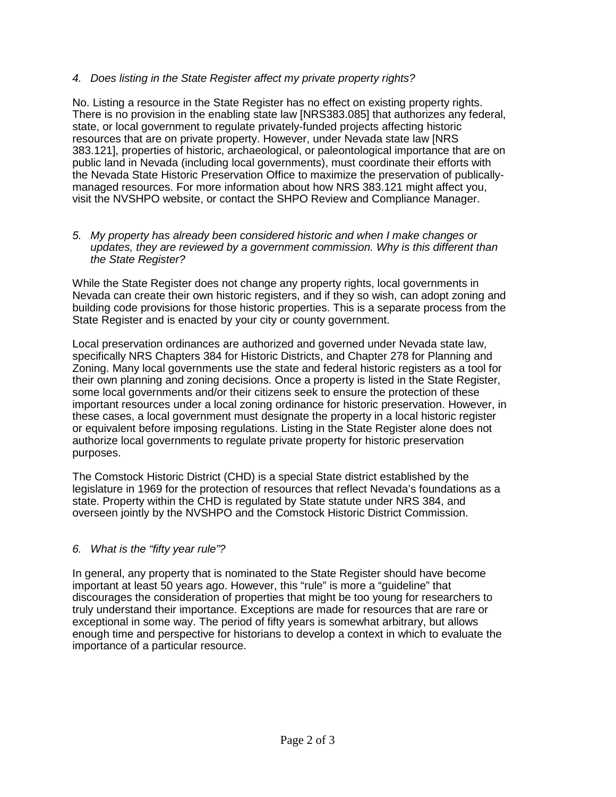# *4. Does listing in the State Register affect my private property rights?*

No. Listing a resource in the State Register has no effect on existing property rights. There is no provision in the enabling state law [NRS383.085] that authorizes any federal, state, or local government to regulate privately-funded projects affecting historic resources that are on private property. However, under Nevada state law [NRS 383.121], properties of historic, archaeological, or paleontological importance that are on public land in Nevada (including local governments), must coordinate their efforts with the Nevada State Historic Preservation Office to maximize the preservation of publicallymanaged resources. For more information about how NRS 383.121 might affect you, visit the NVSHPO website, or contact the SHPO Review and Compliance Manager.

### *5. My property has already been considered historic and when I make changes or updates, they are reviewed by a government commission. Why is this different than the State Register?*

While the State Register does not change any property rights, local governments in Nevada can create their own historic registers, and if they so wish, can adopt zoning and building code provisions for those historic properties. This is a separate process from the State Register and is enacted by your city or county government.

Local preservation ordinances are authorized and governed under Nevada state law, specifically NRS Chapters 384 for Historic Districts, and Chapter 278 for Planning and Zoning. Many local governments use the state and federal historic registers as a tool for their own planning and zoning decisions. Once a property is listed in the State Register, some local governments and/or their citizens seek to ensure the protection of these important resources under a local zoning ordinance for historic preservation. However, in these cases, a local government must designate the property in a local historic register or equivalent before imposing regulations. Listing in the State Register alone does not authorize local governments to regulate private property for historic preservation purposes.

The Comstock Historic District (CHD) is a special State district established by the legislature in 1969 for the protection of resources that reflect Nevada's foundations as a state. Property within the CHD is regulated by State statute under NRS 384, and overseen jointly by the NVSHPO and the Comstock Historic District Commission.

# *6. What is the "fifty year rule"?*

In general, any property that is nominated to the State Register should have become important at least 50 years ago. However, this "rule" is more a "guideline" that discourages the consideration of properties that might be too young for researchers to truly understand their importance. Exceptions are made for resources that are rare or exceptional in some way. The period of fifty years is somewhat arbitrary, but allows enough time and perspective for historians to develop a context in which to evaluate the importance of a particular resource.